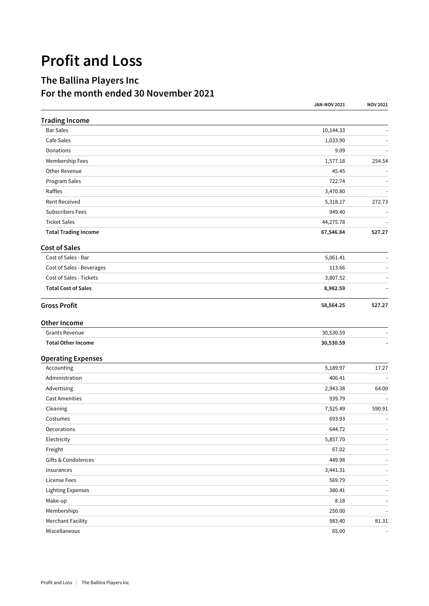## **Profit and Loss**

## **The Ballina Players Inc For the month ended 30 November 2021**

|                             | <b>JAN-NOV 2021</b> | <b>NOV 2021</b>          |
|-----------------------------|---------------------|--------------------------|
| <b>Trading Income</b>       |                     |                          |
| <b>Bar Sales</b>            | 10,144.33           |                          |
| Cafe Sales                  | 1,033.90            |                          |
| Donations                   | 9.09                |                          |
| Membership Fees             | 1,577.18            | 254.54                   |
| Other Revenue               | 45.45               |                          |
| Program Sales               | 722.74              |                          |
| Raffles                     | 3,470.80            |                          |
| <b>Rent Received</b>        | 5,318.17            | 272.73                   |
| <b>Subscribers Fees</b>     | 949.40              |                          |
| <b>Ticket Sales</b>         | 44,275.78           |                          |
| <b>Total Trading Income</b> | 67,546.84           | 527.27                   |
| <b>Cost of Sales</b>        |                     |                          |
| Cost of Sales - Bar         | 5,061.41            |                          |
| Cost of Sales - Beverages   | 113.66              |                          |
| Cost of Sales - Tickets     | 3,807.52            |                          |
| <b>Total Cost of Sales</b>  | 8,982.59            |                          |
| <b>Gross Profit</b>         | 58,564.25           | 527.27                   |
| <b>Other Income</b>         |                     |                          |
| <b>Grants Revenue</b>       | 30,530.59           |                          |
| <b>Total Other Income</b>   | 30,530.59           |                          |
| <b>Operating Expenses</b>   |                     |                          |
| Accounting                  | 5,189.97            | 17.27                    |
| Administration              | 406.41              |                          |
| Advertising                 | 2,943.38            | 64.00                    |
| <b>Cast Amenities</b>       | 939.79              |                          |
| Cleaning                    | 7,525.49            | 590.91                   |
| Costumes                    | 693.93              |                          |
| Decorations                 | 644.72              | $\overline{\phantom{a}}$ |
| Electricity                 | 5,857.70            | $\sim$                   |
| Freight                     | 67.02               | $\blacksquare$           |
| Gifts & Condolences         | 449.98              | $\sim$                   |
| Insurances                  | 3,441.31            | $\sim$                   |
| <b>License Fees</b>         | 569.79              | $\blacksquare$           |
| <b>Lighting Expenses</b>    | 380.41              | $\overline{\phantom{a}}$ |
| Make-up                     | 8.18                | $\blacksquare$           |
| Memberships                 | 250.00              | $\overline{\phantom{a}}$ |
| <b>Merchant Facility</b>    | 983.40              | 81.31                    |
| Miscellaneous               | 65.00               |                          |